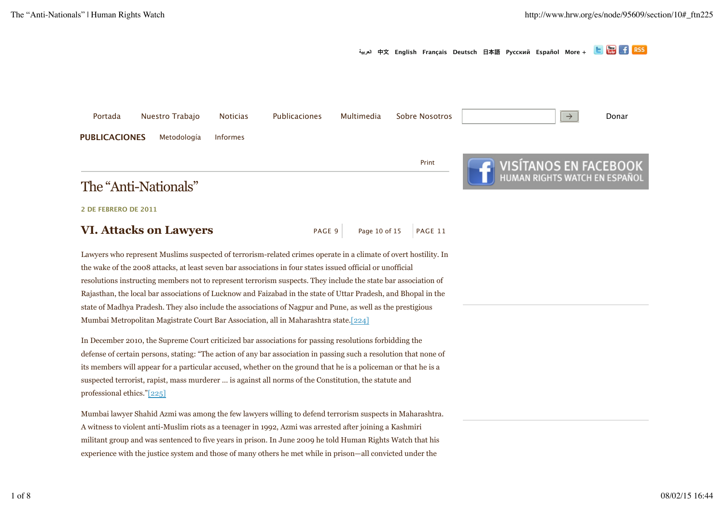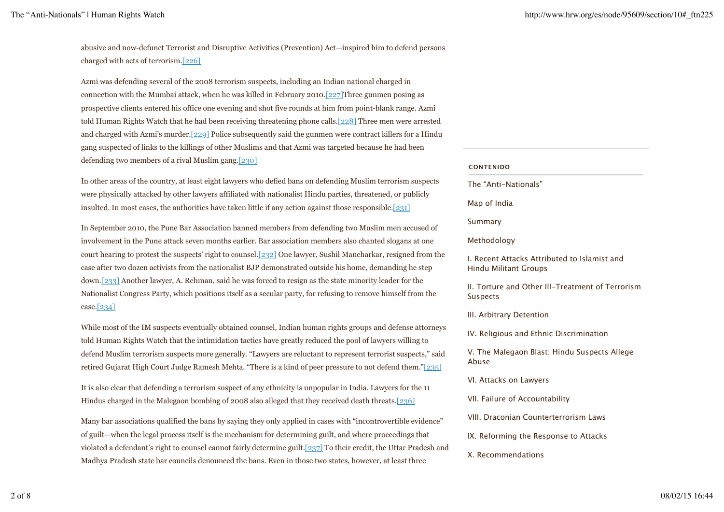abusive and now-defunct Terrorist and Disruptive Activities (Prevention) Act—inspired him to defend persons charged with acts of terrorism.[226]

Azmi was defending several of the 2008 terrorism suspects, including an Indian national charged in connection with the Mumbai attack, when he was killed in February 2010.[227]Three gunmen posing as prospective clients entered his office one evening and shot five rounds at him from point-blank range. Azmi told Human Rights Watch that he had been receiving threatening phone calls.[228] Three men were arrested and charged with Azmi's murder.[229] Police subsequently said the gunmen were contract killers for a Hindu gang suspected of links to the killings of other Muslims and that Azmi was targeted because he had been defending two members of a rival Muslim gang.[230]

In other areas of the country, at least eight lawyers who defied bans on defending Muslim terrorism suspects were physically attacked by other lawyers affiliated with nationalist Hindu parties, threatened, or publicly insulted. In most cases, the authorities have taken little if any action against those responsible.[231]

In September 2010, the Pune Bar Association banned members from defending two Muslim men accused of involvement in the Pune attack seven months earlier. Bar association members also chanted slogans at one court hearing to protest the suspects' right to counsel.[232] One lawyer, Sushil Mancharkar, resigned from the case after two dozen activists from the nationalist BJP demonstrated outside his home, demanding he step down.[233] Another lawyer, A. Rehman, said he was forced to resign as the state minority leader for the Nationalist Congress Party, which positions itself as a secular party, for refusing to remove himself from the case.[234]

While most of the IM suspects eventually obtained counsel, Indian human rights groups and defense attorneys told Human Rights Watch that the intimidation tactics have greatly reduced the pool of lawyers willing to defend Muslim terrorism suspects more generally. "Lawyers are reluctant to represent terrorist suspects," said retired Gujarat High Court Judge Ramesh Mehta. "There is a kind of peer pressure to not defend them."[235]

It is also clear that defending a terrorism suspect of any ethnicity is unpopular in India. Lawyers for the 11 Hindus charged in the Malegaon bombing of 2008 also alleged that they received death threats.[236]

Many bar associations qualified the bans by saying they only applied in cases with "incontrovertible evidence" of guilt—when the legal process itself is the mechanism for determining guilt, and where proceedings that violated a defendant's right to counsel cannot fairly determine guilt.[237] To their credit, the Uttar Pradesh and Madhya Pradesh state bar councils denounced the bans. Even in those two states, however, at least three

#### **CONTENIDO**

The "Anti-Nationals"

Map of India

Summary

### Methodology

I. Recent Attacks Attributed to Islamist and Hindu Militant Groups

II. Torture and Other Ill-Treatment of Terrorism Suspects

III. Arbitrary Detention

IV. Religious and Ethnic Discrimination

V. The Malegaon Blast: Hindu Suspects Allege Abuse

VI. Attacks on Lawyers

VII. Failure of Accountability

VIII. Draconian Counterterrorism Laws

IX. Reforming the Response to Attacks

# X. Recommendations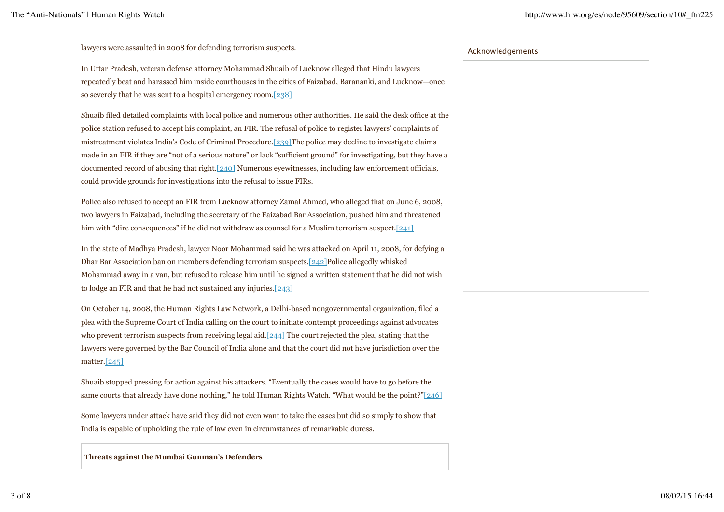lawyers were assaulted in 2008 for defending terrorism suspects.

In Uttar Pradesh, veteran defense attorney Mohammad Shuaib of Lucknow alleged that Hindu lawyers repeatedly beat and harassed him inside courthouses in the cities of Faizabad, Barananki, and Lucknow—once so severely that he was sent to a hospital emergency room.[238]

Shuaib filed detailed complaints with local police and numerous other authorities. He said the desk office at the police station refused to accept his complaint, an FIR. The refusal of police to register lawyers' complaints of mistreatment violates India's Code of Criminal Procedure.[239]The police may decline to investigate claims made in an FIR if they are "not of a serious nature" or lack "sufficient ground" for investigating, but they have a documented record of abusing that right.[240] Numerous eyewitnesses, including law enforcement officials, could provide grounds for investigations into the refusal to issue FIRs.

Police also refused to accept an FIR from Lucknow attorney Zamal Ahmed, who alleged that on June 6, 2008, two lawyers in Faizabad, including the secretary of the Faizabad Bar Association, pushed him and threatened him with "dire consequences" if he did not withdraw as counsel for a Muslim terrorism suspect.[241]

In the state of Madhya Pradesh, lawyer Noor Mohammad said he was attacked on April 11, 2008, for defying a Dhar Bar Association ban on members defending terrorism suspects.[242]Police allegedly whisked Mohammad away in a van, but refused to release him until he signed a written statement that he did not wish to lodge an FIR and that he had not sustained any injuries.[243]

On October 14, 2008, the Human Rights Law Network, a Delhi-based nongovernmental organization, filed a plea with the Supreme Court of India calling on the court to initiate contempt proceedings against advocates who prevent terrorism suspects from receiving legal aid.[244] The court rejected the plea, stating that the lawyers were governed by the Bar Council of India alone and that the court did not have jurisdiction over the matter.[245]

Shuaib stopped pressing for action against his attackers. "Eventually the cases would have to go before the same courts that already have done nothing," he told Human Rights Watch. "What would be the point?" $[246]$ 

Some lawyers under attack have said they did not even want to take the cases but did so simply to show that India is capable of upholding the rule of law even in circumstances of remarkable duress.

**Threats against the Mumbai Gunman's Defenders**

# Acknowledgements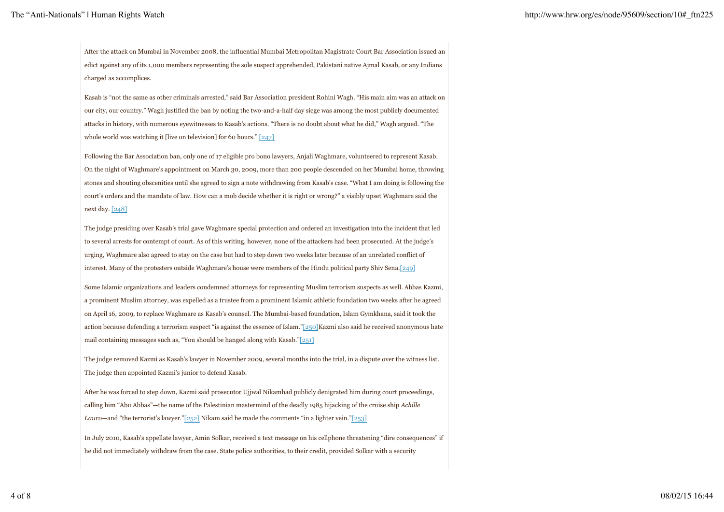After the attack on Mumbai in November 2008, the influential Mumbai Metropolitan Magistrate Court Bar Association issued an edict against any of its 1,000 members representing the sole suspect apprehended, Pakistani native Ajmal Kasab, or any Indians charged as accomplices.

Kasab is "not the same as other criminals arrested," said Bar Association president Rohini Wagh. "His main aim was an attack on our city, our country." Wagh justified the ban by noting the two-and-a-half day siege was among the most publicly documented attacks in history, with numerous eyewitnesses to Kasab's actions. "There is no doubt about what he did," Wagh argued. "The whole world was watching it [live on television] for 60 hours."  $[247]$ 

Following the Bar Association ban, only one of 17 eligible pro bono lawyers, Anjali Waghmare, volunteered to represent Kasab. On the night of Waghmare's appointment on March 30, 2009, more than 200 people descended on her Mumbai home, throwing stones and shouting obscenities until she agreed to sign a note withdrawing from Kasab's case. "What I am doing is following the court's orders and the mandate of law. How can a mob decide whether it is right or wrong?" a visibly upset Waghmare said the next day. [248]

The judge presiding over Kasab's trial gave Waghmare special protection and ordered an investigation into the incident that led to several arrests for contempt of court. As of this writing, however, none of the attackers had been prosecuted. At the judge's urging, Waghmare also agreed to stay on the case but had to step down two weeks later because of an unrelated conflict of interest. Many of the protesters outside Waghmare's house were members of the Hindu political party Shiv Sena.[249]

Some Islamic organizations and leaders condemned attorneys for representing Muslim terrorism suspects as well. Abbas Kazmi, a prominent Muslim attorney, was expelled as a trustee from a prominent Islamic athletic foundation two weeks after he agreed on April 16, 2009, to replace Waghmare as Kasab's counsel. The Mumbai-based foundation, Islam Gymkhana, said it took the action because defending a terrorism suspect "is against the essence of Islam."[250]Kazmi also said he received anonymous hate mail containing messages such as, "You should be hanged along with Kasab."[251]

The judge removed Kazmi as Kasab's lawyer in November 2009, several months into the trial, in a dispute over the witness list. The judge then appointed Kazmi's junior to defend Kasab.

After he was forced to step down, Kazmi said prosecutor Ujjwal Nikamhad publicly denigrated him during court proceedings, calling him "Abu Abbas"—the name of the Palestinian mastermind of the deadly 1985 hijacking of the cruise ship *Achille Lauro*—and "the terrorist's lawyer."[252] Nikam said he made the comments "in a lighter vein."[253]

In July 2010, Kasab's appellate lawyer, Amin Solkar, received a text message on his cellphone threatening "dire consequences" if he did not immediately withdraw from the case. State police authorities, to their credit, provided Solkar with a security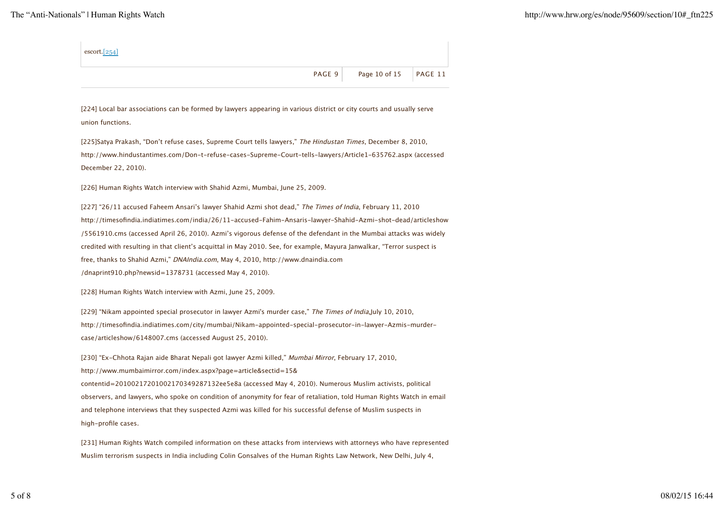| $\epsilon$ escort. $[254]$ |                              |  |
|----------------------------|------------------------------|--|
|                            | PAGE 9 Page 10 of 15 PAGE 11 |  |

[224] Local bar associations can be formed by lawyers appearing in various district or city courts and usually serve union functions.

[225]Satya Prakash, "Don't refuse cases, Supreme Court tells lawyers," The Hindustan Times, December 8, 2010, http://www.hindustantimes.com/Don-t-refuse-cases-Supreme-Court-tells-lawyers/Article1-635762.aspx (accessed December 22, 2010).

[226] Human Rights Watch interview with Shahid Azmi, Mumbai, June 25, 2009.

[227] "26/11 accused Faheem Ansari's lawyer Shahid Azmi shot dead," The Times of India, February 11, 2010 http://timesofindia.indiatimes.com/india/26/11-accused-Fahim-Ansaris-lawyer-Shahid-Azmi-shot-dead/articleshow /5561910.cms (accessed April 26, 2010). Azmi's vigorous defense of the defendant in the Mumbai attacks was widely credited with resulting in that client's acquittal in May 2010. See, for example, Mayura Janwalkar, "Terror suspect is free, thanks to Shahid Azmi," DNAIndia.com, May 4, 2010, http://www.dnaindia.com /dnaprint910.php?newsid=1378731 (accessed May 4, 2010).

[228] Human Rights Watch interview with Azmi, June 25, 2009.

[229] "Nikam appointed special prosecutor in lawyer Azmi's murder case," The Times of India,July 10, 2010, http://timesofindia.indiatimes.com/city/mumbai/Nikam-appointed-special-prosecutor-in-lawyer-Azmis-murdercase/articleshow/6148007.cms (accessed August 25, 2010).

[230] "Ex-Chhota Rajan aide Bharat Nepali got lawyer Azmi killed," Mumbai Mirror, February 17, 2010, http://www.mumbaimirror.com/index.aspx?page=article&sectid=15& contentid=20100217201002170349287132ee5e8a (accessed May 4, 2010). Numerous Muslim activists, political observers, and lawyers, who spoke on condition of anonymity for fear of retaliation, told Human Rights Watch in email and telephone interviews that they suspected Azmi was killed for his successful defense of Muslim suspects in high-profile cases.

[231] Human Rights Watch compiled information on these attacks from interviews with attorneys who have represented Muslim terrorism suspects in India including Colin Gonsalves of the Human Rights Law Network, New Delhi, July 4,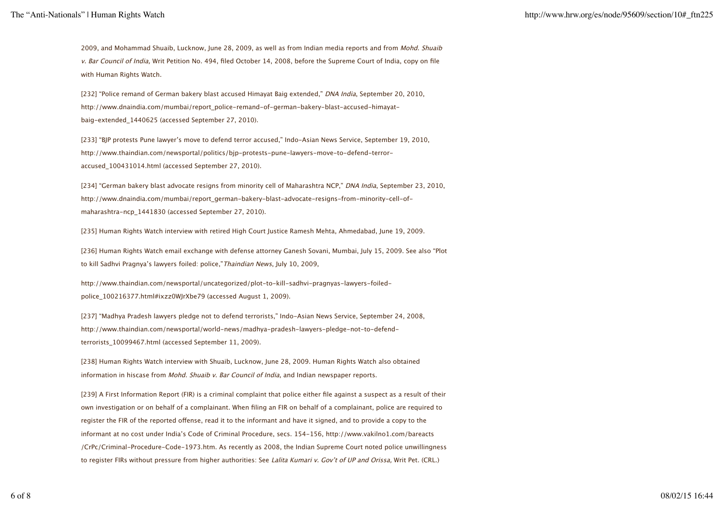2009, and Mohammad Shuaib, Lucknow, June 28, 2009, as well as from Indian media reports and from Mohd. Shuaib v. Bar Council of India, Writ Petition No. 494, filed October 14, 2008, before the Supreme Court of India, copy on file with Human Rights Watch.

[232] "Police remand of German bakery blast accused Himayat Baig extended," DNA India, September 20, 2010, http://www.dnaindia.com/mumbai/report\_police-remand-of-german-bakery-blast-accused-himayatbaig-extended\_1440625 (accessed September 27, 2010).

[233] "BJP protests Pune lawyer's move to defend terror accused," Indo-Asian News Service, September 19, 2010, http://www.thaindian.com/newsportal/politics/bjp-protests-pune-lawyers-move-to-defend-terroraccused\_100431014.html (accessed September 27, 2010).

[234] "German bakery blast advocate resigns from minority cell of Maharashtra NCP," DNA India, September 23, 2010, http://www.dnaindia.com/mumbai/report\_german-bakery-blast-advocate-resigns-from-minority-cell-ofmaharashtra-ncp\_1441830 (accessed September 27, 2010).

[235] Human Rights Watch interview with retired High Court Justice Ramesh Mehta, Ahmedabad, June 19, 2009.

[236] Human Rights Watch email exchange with defense attorney Ganesh Sovani, Mumbai, July 15, 2009. See also "Plot to kill Sadhvi Pragnya's lawyers foiled: police,"Thaindian News, July 10, 2009,

http://www.thaindian.com/newsportal/uncategorized/plot-to-kill-sadhvi-pragnyas-lawyers-foiledpolice\_100216377.html#ixzz0WJrXbe79 (accessed August 1, 2009).

[237] "Madhya Pradesh lawyers pledge not to defend terrorists," Indo-Asian News Service, September 24, 2008, http://www.thaindian.com/newsportal/world-news/madhya-pradesh-lawyers-pledge-not-to-defendterrorists\_10099467.html (accessed September 11, 2009).

[238] Human Rights Watch interview with Shuaib, Lucknow, June 28, 2009. Human Rights Watch also obtained information in hiscase from Mohd. Shuaib v. Bar Council of India, and Indian newspaper reports.

[239] A First Information Report (FIR) is a criminal complaint that police either file against a suspect as a result of their own investigation or on behalf of a complainant. When filing an FIR on behalf of a complainant, police are required to register the FIR of the reported ofense, read it to the informant and have it signed, and to provide a copy to the informant at no cost under India's Code of Criminal Procedure, secs. 154-156, http://www.vakilno1.com/bareacts /CrPc/Criminal-Procedure-Code-1973.htm. As recently as 2008, the Indian Supreme Court noted police unwillingness to register FIRs without pressure from higher authorities: See Lalita Kumari v. Gov't of UP and Orissa, Writ Pet. (CRL.)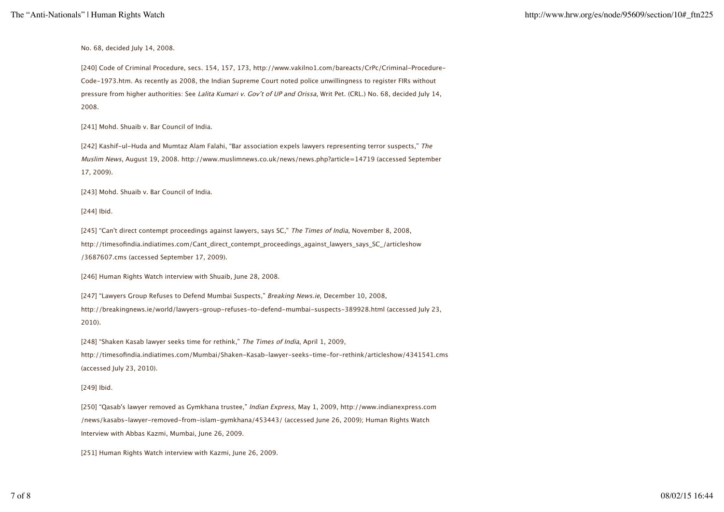No. 68, decided July 14, 2008.

[240] Code of Criminal Procedure, secs. 154, 157, 173, http://www.vakilno1.com/bareacts/CrPc/Criminal-Procedure-Code-1973.htm. As recently as 2008, the Indian Supreme Court noted police unwillingness to register FIRs without pressure from higher authorities: See Lalita Kumari v. Gov't of UP and Orissa, Writ Pet. (CRL.) No. 68, decided July 14, 2008.

[241] Mohd. Shuaib v. Bar Council of India.

[242] Kashif-ul-Huda and Mumtaz Alam Falahi, "Bar association expels lawyers representing terror suspects," The Muslim News, August 19, 2008. http://www.muslimnews.co.uk/news/news.php?article=14719 (accessed September 17, 2009).

[243] Mohd. Shuaib v. Bar Council of India.

[244] Ibid.

[245] "Can't direct contempt proceedings against lawyers, says SC," The Times of India, November 8, 2008, http://timesofindia.indiatimes.com/Cant\_direct\_contempt\_proceedings\_against\_lawyers\_says\_SC\_/articleshow /3687607.cms (accessed September 17, 2009).

[246] Human Rights Watch interview with Shuaib, June 28, 2008.

[247] "Lawyers Group Refuses to Defend Mumbai Suspects," Breaking News.ie, December 10, 2008, http://breakingnews.ie/world/lawyers-group-refuses-to-defend-mumbai-suspects-389928.html (accessed July 23, 2010).

[248] "Shaken Kasab lawyer seeks time for rethink," The Times of India, April 1, 2009, http://timesofindia.indiatimes.com/Mumbai/Shaken-Kasab-lawyer-seeks-time-for-rethink/articleshow/4341541.cms (accessed July 23, 2010).

### [249] Ibid.

[250] "Qasab's lawyer removed as Gymkhana trustee," Indian Express, May 1, 2009, http://www.indianexpress.com /news/kasabs-lawyer-removed-from-islam-gymkhana/453443/ (accessed June 26, 2009); Human Rights Watch Interview with Abbas Kazmi, Mumbai, June 26, 2009.

[251] Human Rights Watch interview with Kazmi, June 26, 2009.